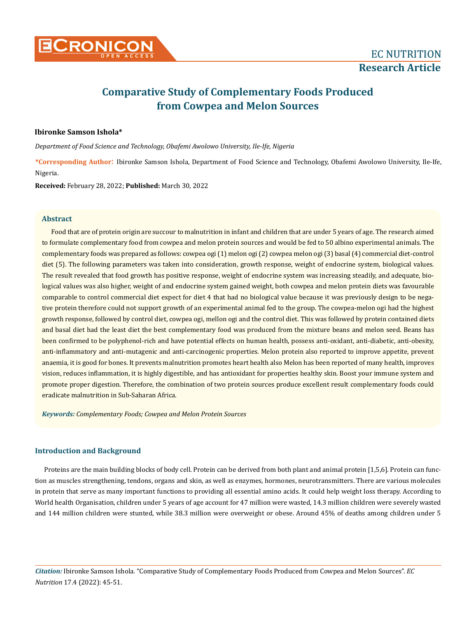

# **Comparative Study of Complementary Foods Produced from Cowpea and Melon Sources**

# **Ibironke Samson Ishola\***

*Department of Food Science and Technology, Obafemi Awolowo University, Ile-Ife, Nigeria*

**\*Corresponding Author**: Ibironke Samson Ishola, Department of Food Science and Technology, Obafemi Awolowo University, Ile-Ife, Nigeria.

**Received:** February 28, 2022; **Published:** March 30, 2022

#### **Abstract**

Food that are of protein origin are succour to malnutrition in infant and children that are under 5 years of age. The research aimed to formulate complementary food from cowpea and melon protein sources and would be fed to 50 albino experimental animals. The complementary foods was prepared as follows: cowpea ogi (1) melon ogi (2) cowpea melon ogi (3) basal (4) commercial diet-control diet (5). The following parameters was taken into consideration, growth response, weight of endocrine system, biological values. The result revealed that food growth has positive response, weight of endocrine system was increasing steadily, and adequate, biological values was also higher, weight of and endocrine system gained weight, both cowpea and melon protein diets was favourable comparable to control commercial diet expect for diet 4 that had no biological value because it was previously design to be negative protein therefore could not support growth of an experimental animal fed to the group. The cowpea-melon ogi had the highest growth response, followed by control diet, cowpea ogi, mellon ogi and the control diet. This was followed by protein contained diets and basal diet had the least diet the best complementary food was produced from the mixture beans and melon seed. Beans has been confirmed to be polyphenol-rich and have potential effects on human health, possess anti-oxidant, anti-diabetic, anti-obesity, anti-inflammatory and anti-mutagenic and anti-carcinogenic properties. Melon protein also reported to improve appetite, prevent anaemia, it is good for bones. It prevents malnutrition promotes heart health also Melon has been reported of many health, improves vision, reduces inflammation, it is highly digestible, and has antioxidant for properties healthy skin. Boost your immune system and promote proper digestion. Therefore, the combination of two protein sources produce excellent result complementary foods could eradicate malnutrition in Sub-Saharan Africa.

*Keywords: Complementary Foods; Cowpea and Melon Protein Sources*

# **Introduction and Background**

Proteins are the main building blocks of body cell. Protein can be derived from both plant and animal protein [1,5,6]. Protein can function as muscles strengthening, tendons, organs and skin, as well as enzymes, hormones, neurotransmitters. There are various molecules in protein that serve as many important functions to providing all essential amino acids. It could help weight loss therapy. According to World health Organisation, children under 5 years of age account for 47 million were wasted, 14.3 million children were severely wasted and 144 million children were stunted, while 38.3 million were overweight or obese. Around 45% of deaths among children under 5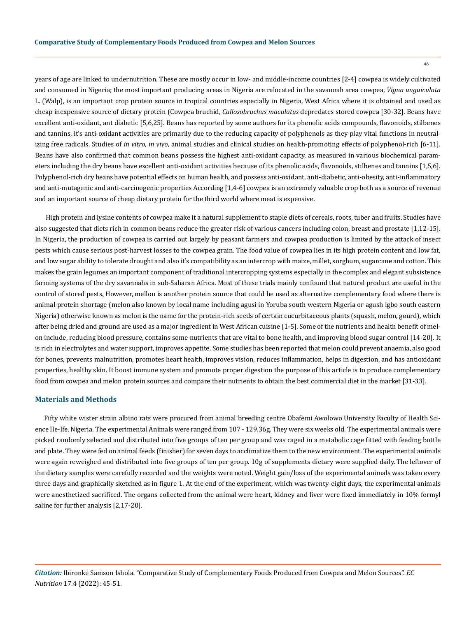years of age are linked to undernutrition. These are mostly occur in low- and middle-income countries [2-4] cowpea is widely cultivated and consumed in Nigeria; the most important producing areas in Nigeria are relocated in the savannah area cowpea, *Vigna unguiculata* L. (Walp), is an important crop protein source in tropical countries especially in Nigeria, West Africa where it is obtained and used as cheap inexpensive source of dietary protein (Cowpea bruchid, *Callosobruchus maculatus* depredates stored cowpea [30-32]. Beans have excellent anti-oxidant, ant diabetic [5,6,25]. Beans has reported by some authors for its phenolic acids compounds, flavonoids, stilbenes and tannins, it's anti-oxidant activities are primarily due to the reducing capacity of polyphenols as they play vital functions in neutralizing free radicals. Studies of *in vitro, in vivo,* animal studies and clinical studies on health-promoting effects of polyphenol-rich [6-11]. Beans have also confirmed that common beans possess the highest anti-oxidant capacity, as measured in various biochemical parameters including the dry beans have excellent anti-oxidant activities because of its phenolic acids, flavonoids, stilbenes and tannins [1,5,6]. Polyphenol-rich dry beans have potential effects on human health, and possess anti-oxidant, anti-diabetic, anti-obesity, anti-inflammatory and anti-mutagenic and anti-carcinogenic properties According [1,4-6] cowpea is an extremely valuable crop both as a source of revenue and an important source of cheap dietary protein for the third world where meat is expensive.

 High protein and lysine contents of cowpea make it a natural supplement to staple diets of cereals, roots, tuber and fruits. Studies have also suggested that diets rich in common beans reduce the greater risk of various cancers including colon, breast and prostate [1,12-15]. In Nigeria, the production of cowpea is carried out largely by peasant farmers and cowpea production is limited by the attack of insect pests which cause serious post-harvest losses to the cowpea grain. The food value of cowpea lies in its high protein content and low fat, and low sugar ability to tolerate drought and also it's compatibility as an intercrop with maize, millet, sorghum, sugarcane and cotton. This makes the grain legumes an important component of traditional intercropping systems especially in the complex and elegant subsistence farming systems of the dry savannahs in sub-Saharan Africa. Most of these trials mainly confound that natural product are useful in the control of stored pests. However, mellon is another protein source that could be used as alternative complementary food where there is animal protein shortage (melon also known by local name including agusi in Yoruba south western Nigeria or agush igbo south eastern Nigeria) otherwise known as melon is the name for the protein-rich seeds of certain cucurbitaceous plants (squash, melon, gourd), which after being dried and ground are used as a major ingredient in West African cuisine [1-5]. Some of the nutrients and health benefit of melon include, reducing blood pressure, contains some nutrients that are vital to bone health, and improving blood sugar control [14-20]. It is rich in electrolytes and water support, improves appetite. Some studies has been reported that melon could prevent anaemia, also good for bones, prevents malnutrition, promotes heart health, improves vision, reduces inflammation, helps in digestion, and has antioxidant properties, healthy skin. It boost immune system and promote proper digestion the purpose of this article is to produce complementary food from cowpea and melon protein sources and compare their nutrients to obtain the best commercial diet in the market [31-33].

### **Materials and Methods**

Fifty white wister strain albino rats were procured from animal breeding centre Obafemi Awolowo University Faculty of Health Science Ile-Ife, Nigeria. The experimental Animals were ranged from 107 - 129.36g. They were six weeks old. The experimental animals were picked randomly selected and distributed into five groups of ten per group and was caged in a metabolic cage fitted with feeding bottle and plate. They were fed on animal feeds (finisher) for seven days to acclimatize them to the new environment. The experimental animals were again reweighed and distributed into five groups of ten per group. 10g of supplements dietary were supplied daily. The leftover of the dietary samples were carefully recorded and the weights were noted. Weight gain/loss of the experimental animals was taken every three days and graphically sketched as in figure 1. At the end of the experiment, which was twenty-eight days, the experimental animals were anesthetized sacrificed. The organs collected from the animal were heart, kidney and liver were fixed immediately in 10% formyl saline for further analysis [2,17-20].

*Citation:* Ibironke Samson Ishola*.* "Comparative Study of Complementary Foods Produced from Cowpea and Melon Sources". *EC Nutrition* 17.4 (2022): 45-51.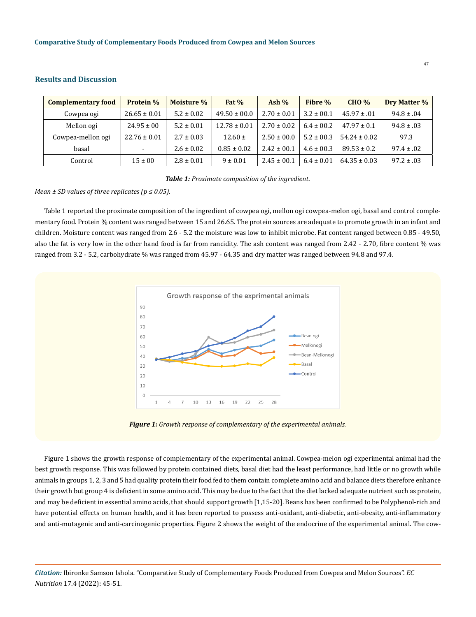| <b>Complementary food</b> | Protein %                | Moisture %     | Fat $%$          | Ash $%$         | Fibre %        | <b>CHO %</b>     | Dry Matter %   |
|---------------------------|--------------------------|----------------|------------------|-----------------|----------------|------------------|----------------|
| Cowpea ogi                | $26.65 \pm 0.01$         | $5.2 \pm 0.02$ | $49.50 \pm 00.0$ | $2.70 \pm 0.01$ | $3.2 \pm 00.1$ | $45.97 \pm .01$  | $94.8 \pm .04$ |
| Mellon ogi                | $24.95 \pm 00$           | $5.2 \pm 0.01$ | $12.78 \pm 0.01$ | $2.70 \pm 0.02$ | $6.4 \pm 00.2$ | $47.97 \pm 0.1$  | $94.8 \pm .03$ |
| Cowpea-mellon ogi         | $22.76 \pm 0.01$         | $2.7 \pm 0.03$ | $12.60 \pm$      | $2.50 \pm 00.0$ | $5.2 \pm 00.3$ | $54.24 \pm 0.02$ | 97.3           |
| basal                     | $\overline{\phantom{0}}$ | $2.6 \pm 0.02$ | $0.85 \pm 0.02$  | $2.42 \pm 0.01$ | $4.6 \pm 00.3$ | $89.53 \pm 0.2$  | $97.4 \pm .02$ |
| Control                   | $15 \pm 00$              | $2.8 \pm 0.01$ | $9 \pm 0.01$     | $2.45 \pm 00.1$ | $6.4 \pm 0.01$ | $64.35 \pm 0.03$ | $97.2 \pm .03$ |

# **Results and Discussion**

*Table 1: Proximate composition of the ingredient.*

### *Mean ± SD values of three replicates (p ≤ 0.05).*

Table 1 reported the proximate composition of the ingredient of cowpea ogi, mellon ogi cowpea-melon ogi, basal and control complementary food. Protein % content was ranged between 15 and 26.65. The protein sources are adequate to promote growth in an infant and children. Moisture content was ranged from 2.6 - 5.2 the moisture was low to inhibit microbe. Fat content ranged between 0.85 - 49.50, also the fat is very low in the other hand food is far from rancidity. The ash content was ranged from 2.42 - 2.70, fibre content % was ranged from 3.2 - 5.2, carbohydrate % was ranged from 45.97 - 64.35 and dry matter was ranged between 94.8 and 97.4.





Figure 1 shows the growth response of complementary of the experimental animal. Cowpea-melon ogi experimental animal had the best growth response. This was followed by protein contained diets, basal diet had the least performance, had little or no growth while animals in groups 1, 2, 3 and 5 had quality protein their food fed to them contain complete amino acid and balance diets therefore enhance their growth but group 4 is deficient in some amino acid. This may be due to the fact that the diet lacked adequate nutrient such as protein, and may be deficient in essential amino acids, that should support growth [1,15-20]. Beans has been confirmed to be Polyphenol-rich and have potential effects on human health, and it has been reported to possess anti-oxidant, anti-diabetic, anti-obesity, anti-inflammatory and anti-mutagenic and anti-carcinogenic properties. Figure 2 shows the weight of the endocrine of the experimental animal. The cow-

*Citation:* Ibironke Samson Ishola*.* "Comparative Study of Complementary Foods Produced from Cowpea and Melon Sources". *EC Nutrition* 17.4 (2022): 45-51.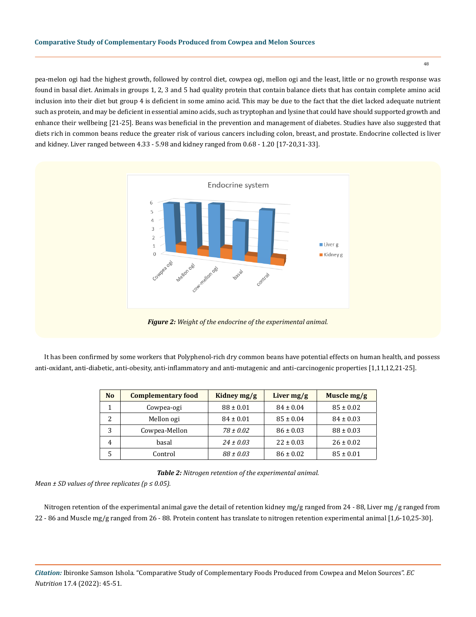pea-melon ogi had the highest growth, followed by control diet, cowpea ogi, mellon ogi and the least, little or no growth response was found in basal diet. Animals in groups 1, 2, 3 and 5 had quality protein that contain balance diets that has contain complete amino acid inclusion into their diet but group 4 is deficient in some amino acid. This may be due to the fact that the diet lacked adequate nutrient such as protein, and may be deficient in essential amino acids, such as tryptophan and lysine that could have should supported growth and enhance their wellbeing [21-25]. Beans was beneficial in the prevention and management of diabetes. Studies have also suggested that diets rich in common beans reduce the greater risk of various cancers including colon, breast, and prostate. Endocrine collected is liver and kidney. Liver ranged between 4.33 - 5.98 and kidney ranged from 0.68 - 1.20 [17-20,31-33].



It has been confirmed by some workers that Polyphenol-rich dry common beans have potential effects on human health, and possess anti-oxidant, anti-diabetic, anti-obesity, anti-inflammatory and anti-mutagenic and anti-carcinogenic properties [1,11,12,21-25].

| N <sub>o</sub> | <b>Complementary food</b> | Kidney $mg/g$ | Liver $mg/g$  | Muscle $mg/g$ |
|----------------|---------------------------|---------------|---------------|---------------|
|                | Cowpea-ogi                | $88 \pm 0.01$ | $84 \pm 0.04$ | $85 \pm 0.02$ |
| 2              | Mellon ogi                | $84 \pm 0.01$ | $85 \pm 0.04$ | $84 \pm 0.03$ |
| 3              | Cowpea-Mellon             | $78 \pm 0.02$ | $86 \pm 0.03$ | $88 \pm 0.03$ |
| 4              | basal                     | $24 \pm 0.03$ | $22 \pm 0.03$ | $26 \pm 0.02$ |
| 5              | Control                   | $88 \pm 0.03$ | $86 \pm 0.02$ | $85 \pm 0.01$ |

*Table 2: Nitrogen retention of the experimental animal.*

*Mean ± SD values of three replicates (p ≤ 0.05).*

Nitrogen retention of the experimental animal gave the detail of retention kidney mg/g ranged from 24 - 88, Liver mg /g ranged from 22 - 86 and Muscle mg/g ranged from 26 - 88. Protein content has translate to nitrogen retention experimental animal [1,6-10,25-30].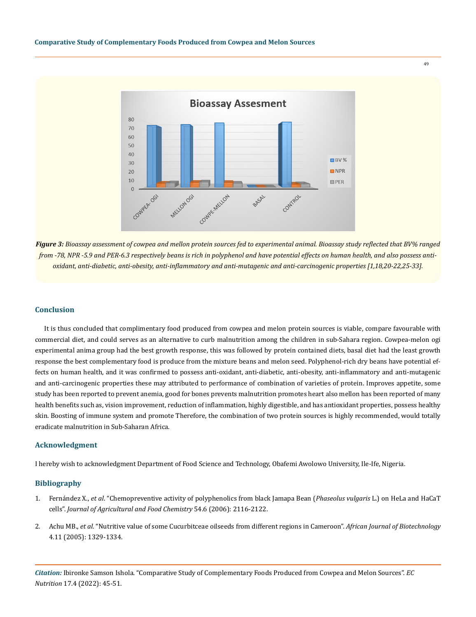

*Figure 3: Bioassay assessment of cowpea and mellon protein sources fed to experimental animal. Bioassay study reflected that BV% ranged from -78, NPR -5.9 and PER-6.3 respectively beans is rich in polyphenol and have potential effects on human health, and also possess antioxidant, anti-diabetic, anti-obesity, anti-inflammatory and anti-mutagenic and anti-carcinogenic properties [1,18,20-22,25-33].*

#### **Conclusion**

It is thus concluded that complimentary food produced from cowpea and melon protein sources is viable, compare favourable with commercial diet, and could serves as an alternative to curb malnutrition among the children in sub-Sahara region. Cowpea-melon ogi experimental anima group had the best growth response, this was followed by protein contained diets, basal diet had the least growth response the best complementary food is produce from the mixture beans and melon seed. Polyphenol-rich dry beans have potential effects on human health, and it was confirmed to possess anti-oxidant, anti-diabetic, anti-obesity, anti-inflammatory and anti-mutagenic and anti-carcinogenic properties these may attributed to performance of combination of varieties of protein. Improves appetite, some study has been reported to prevent anemia, good for bones prevents malnutrition promotes heart also mellon has been reported of many health benefits such as, vision improvement, reduction of inflammation, highly digestible, and has antioxidant properties, possess healthy skin. Boosting of immune system and promote Therefore, the combination of two protein sources is highly recommended, would totally eradicate malnutrition in Sub-Saharan Africa.

#### **Acknowledgment**

I hereby wish to acknowledgment Department of Food Science and Technology, Obafemi Awolowo University, Ile-Ife, Nigeria.

#### **Bibliography**

- 1. Fernández X., *et al*[. "Chemopreventive activity of polyphenolics from black Jamapa Bean \(](https://pubmed.ncbi.nlm.nih.gov/16536584/)*Phaseolus vulgaris* L.) on HeLa and HaCaT cells". *[Journal of Agricultural and Food Chemistry](https://pubmed.ncbi.nlm.nih.gov/16536584/)* 54.6 (2006): 2116-2122.
- 2. Achu MB., *et al*[. "Nutritive value of some Cucurbitceae oilseeds from different regions in Cameroon".](https://www.researchgate.net/publication/242203679_Nutritive_value_of_some_Cucurbitaceae_oilseeds_from_different_regions_in_Cameroon) *African Journal of Biotechnology*  [4.11 \(2005\): 1329-1334.](https://www.researchgate.net/publication/242203679_Nutritive_value_of_some_Cucurbitaceae_oilseeds_from_different_regions_in_Cameroon)

*Citation:* Ibironke Samson Ishola*.* "Comparative Study of Complementary Foods Produced from Cowpea and Melon Sources". *EC Nutrition* 17.4 (2022): 45-51.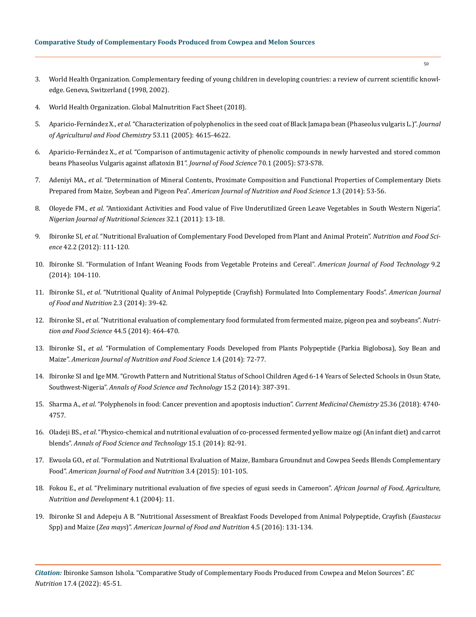- 3. [World Health Organization. Complementary feeding of young children in developing countries: a review of current scientific knowl](https://apps.who.int/iris/handle/10665/65932)[edge. Geneva, Switzerland \(1998, 2002\).](https://apps.who.int/iris/handle/10665/65932)
- 4. [World Health Organization. Global Malnutrition Fact Sheet \(2018\).](https://www.who.int/news-room/fact-sheets/detail/malnutrition)
- 5. Aparicio-Fernández X., *et al*[. "Characterization of polyphenolics in the seed coat of Black Jamapa bean \(Phaseolus vulgaris L.\)".](https://pubmed.ncbi.nlm.nih.gov/15913334/) *Journal [of Agricultural and Food Chemistry](https://pubmed.ncbi.nlm.nih.gov/15913334/)* 53.11 (2005): 4615-4622.
- 6. Aparicio-Fernández X., *et al*[. "Comparison of antimutagenic activity of phenolic compounds in newly harvested and stored common](https://www.researchgate.net/publication/227581600_Comparison_of_Antimutagenic_Activity_of_Phenolic_Compounds_in_Newly_Harvested_and_Stored_Common_Beans_Phaseolus_vulgaris_against_Aflatoxin_B1)  [beans Phaseolus Vulgaris against aflatoxin B1".](https://www.researchgate.net/publication/227581600_Comparison_of_Antimutagenic_Activity_of_Phenolic_Compounds_in_Newly_Harvested_and_Stored_Common_Beans_Phaseolus_vulgaris_against_Aflatoxin_B1) *Journal of Food Science* 70.1 (2005): S73-S78.
- 7. Adeniyi MA., *et al*[. "Determination of Mineral Contents, Proximate Composition and Functional Properties of Complementary Diets](https://citeseerx.ist.psu.edu/viewdoc/download?doi=10.1.1.653.8004&rep=rep1&type=pdf)  Prepared from Maize, Soybean and Pigeon Pea". *[American Journal of Nutrition and Food Science](https://citeseerx.ist.psu.edu/viewdoc/download?doi=10.1.1.653.8004&rep=rep1&type=pdf)* 1.3 (2014): 53-56.
- 8. Oloyede FM., *et al*[. "Antioxidant Activities and Food value of Five Underutilized Green Leave Vegetables in South Western Nigeria".](https://www.ajol.info/index.php/njns/article/view/67802)  *Nigerian [Journal of Nutritional](https://www.ajol.info/index.php/njns/article/view/67802) Sciences* 32.1 (2011): 13-18.
- 9. Ibironke SI, *et al*[. "Nutritional Evaluation of Complementary Food Developed from Plant and Animal Protein".](https://www.emerald.com/insight/content/doi/10.1108/00346651211212079/full/html) *Nutrition and Food Science* [42.2 \(2012\): 111-120.](https://www.emerald.com/insight/content/doi/10.1108/00346651211212079/full/html)
- 10. [Ibironke SI. "Formulation of Infant Weaning Foods from Vegetable Proteins and Cereal".](https://scialert.net/fulltext/?doi=ajft.2014.104.110) *American Journal of Food Technology* 9.2 [\(2014\): 104-110.](https://scialert.net/fulltext/?doi=ajft.2014.104.110)
- 11. Ibironke SI., *et al*[. "Nutritional Quality of Animal Polypeptide \(Crayfish\) Formulated Into Complementary Foods".](http://www.sciepub.com/ajfn/abstract/2216) *American Journal [of Food and Nutrition](http://www.sciepub.com/ajfn/abstract/2216)* 2.3 (2014): 39-42.
- 12. Ibironke SI., *et al*[. "Nutritional evaluation of complementary food formulated from fermented maize, pigeon pea and soybeans".](https://www.emerald.com/insight/content/doi/10.1108/NFS-02-2013-0029/full/html) *Nutri[tion and Food Science](https://www.emerald.com/insight/content/doi/10.1108/NFS-02-2013-0029/full/html)* 44.5 (2014): 464-470.
- 13. Ibironke SI., *et al*[. "Formulation of Complementary Foods Developed from Plants Polypeptide \(Parkia Biglobosa\), Soy Bean and](https://www.sciencegate.app/document/10.12966/ajnfs.10.01.2014)  Maize". *[American Journal of Nutrition and Food Science](https://www.sciencegate.app/document/10.12966/ajnfs.10.01.2014)* 1.4 (2014): 72-77.
- 14. [Ibironke SI and Ige MM. "Growth Pattern and Nutritional Status of School Children Aged 6-14 Years of Selected Schools in Osun State,](https://www.semanticscholar.org/paper/GROWTH-PATTERN-AND-NUTRITIONAL-STATUS-OF-SCHOOL-OF-Ibironke-Ige/b0c04c09ebcb2950e597beb1ca825e3fc33fe62c)  Southwest-Nigeria". *[Annals of Food Science and Technology](https://www.semanticscholar.org/paper/GROWTH-PATTERN-AND-NUTRITIONAL-STATUS-OF-SCHOOL-OF-Ibironke-Ige/b0c04c09ebcb2950e597beb1ca825e3fc33fe62c)* 15.2 (2014): 387-391.
- 15. Sharma A., *et al*[. "Polyphenols in food: Cancer prevention and apoptosis induction".](https://pubmed.ncbi.nlm.nih.gov/28990504/) *Current Medicinal Chemistry* 25.36 (2018): 4740- [4757.](https://pubmed.ncbi.nlm.nih.gov/28990504/)
- 16. Oladeji BS., *et al*[. "Physico-chemical and nutritional evaluation of co-processed fermented yellow maize ogi \(An infant diet\) and carrot](https://www.academia.edu/23337243/PHYSICO_CHEMICAL_AND_NUTRITIONAL_EVALUATION_OF_CO_PROCESSED_FERMENTED_YELLOW_MAIZE_OGI_AN_INFANT_DIET_AND_CARROT_BLENDS)  blends". *[Annals of Food Science and Technology](https://www.academia.edu/23337243/PHYSICO_CHEMICAL_AND_NUTRITIONAL_EVALUATION_OF_CO_PROCESSED_FERMENTED_YELLOW_MAIZE_OGI_AN_INFANT_DIET_AND_CARROT_BLENDS)* 15.1 (2014): 82-91.
- 17. Ewuola GO., *et al*[. "Formulation and Nutritional Evaluation of Maize, Bambara Groundnut and Cowpea Seeds Blends Complementary](http://pubs.sciepub.com/ajfn/3/4/2/)  Food". *[American Journal of Food and Nutrition](http://pubs.sciepub.com/ajfn/3/4/2/)* 3.4 (2015): 101-105.
- 18. Fokou E., *et al*[. "Preliminary nutritional evaluation of five species of egusi seeds in Cameroon".](https://www.ajol.info/index.php/ajfand/article/view/19151/0) *African Journal of Food, Agriculture, [Nutrition and Development](https://www.ajol.info/index.php/ajfand/article/view/19151/0)* 4.1 (2004): 11.
- 19. [Ibironke SI and Adepeju A B. "Nutritional Assessment of Breakfast Foods Developed from Animal Polypeptide, Crayfish \(](http://pubs.sciepub.com/ajfn/4/5/3/)*Euastacus* Spp) and Maize (*Zea mays*)". *[American Journal of Food and Nutrition](http://pubs.sciepub.com/ajfn/4/5/3/)* 4.5 (2016): 131-134.

*Citation:* Ibironke Samson Ishola*.* "Comparative Study of Complementary Foods Produced from Cowpea and Melon Sources". *EC Nutrition* 17.4 (2022): 45-51.